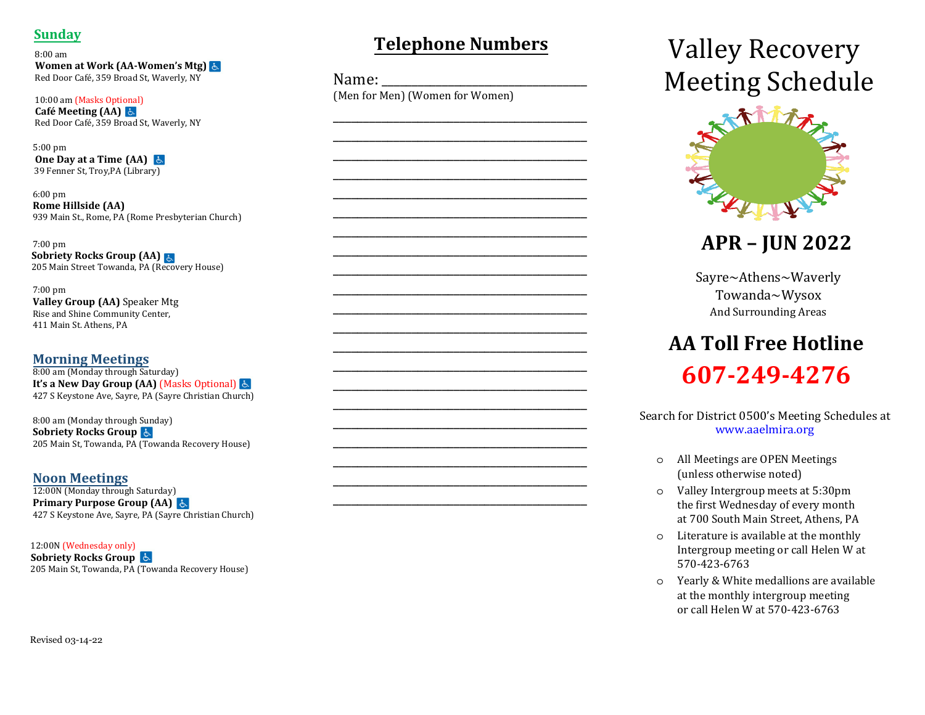# **Sunday**

 $8:00$  am Women at Work (AA-Women's Mtg) है। Red Door Café, 359 Broad St, Waverly, NY

10:00 am (Masks Optional) Café Meeting  $(AA)$   $\uparrow$ Red Door Café, 359 Broad St, Waverly, NY

 $5:00 \text{ nm}$ One Day at a Time  $(AA)$  & 39 Fenner St, Troy, PA (Library)

 $6:00$  pm **Rome Hillside (AA)** 939 Main St., Rome, PA (Rome Presbyterian Church)

 $7:00 \text{ nm}$ **Sobriety Rocks Group (AA)** 205 Main Street Towanda, PA (Recovery House)

 $7:00$  pm Valley Group (AA) Speaker Mtg Rise and Shine Community Center, 411 Main St. Athens, PA

### **Morning Meetings**

8:00 am (Monday through Saturday) It's a New Day Group (AA) (Masks Optional) & 427 S Keystone Ave, Sayre, PA (Sayre Christian Church)

8:00 am (Monday through Sunday) **Sobriety Rocks Group &** 205 Main St, Towanda, PA (Towanda Recovery House)

**Noon Meetings** 

12:00N (Monday through Saturday) Primary Purpose Group (AA) है 427 S Keystone Ave, Sayre, PA (Sayre Christian Church)

12:00N (Wednesday only)

**Sobriety Rocks Group** 205 Main St, Towanda, PA (Towanda Recovery House)

# **Telephone Numbers**

Name: (Men for Men) (Women for Women)

# **Valley Recovery Meeting Schedule**



**APR - JUN 2022** 

Sayre~Athens~Waverly Towanda~Wysox And Surrounding Areas

# **AA Toll Free Hotline** 607-249-4276

Search for District 0500's Meeting Schedules at www.aaelmira.org

- o All Meetings are OPEN Meetings (unless otherwise noted)
- o Valley Intergroup meets at 5:30pm the first Wednesday of every month at 700 South Main Street, Athens, PA
- o Literature is available at the monthly Intergroup meeting or call Helen W at 570-423-6763
- o Yearly & White medallions are available at the monthly intergroup meeting or call Helen W at 570-423-6763

Revised 03-14-22